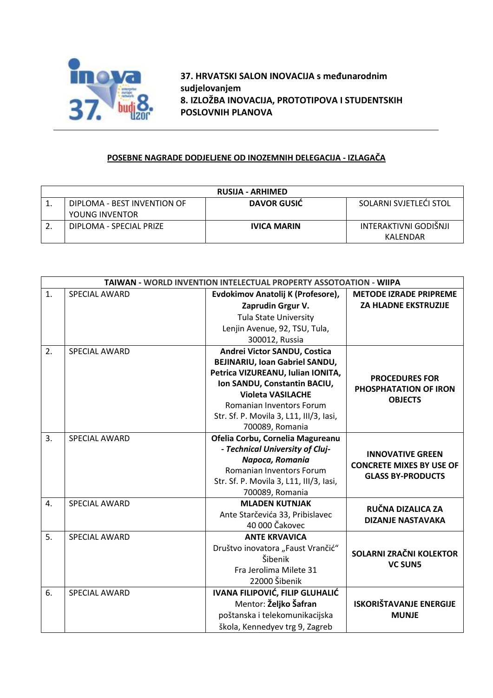

**37. HRVATSKI SALON INOVACIJA s međunarodnim sudjelovanjem 8. IZLOŽBA INOVACIJA, PROTOTIPOVA I STUDENTSKIH POSLOVNIH PLANOVA**

## **POSEBNE NAGRADE DODJELJENE OD INOZEMNIH DELEGACIJA - IZLAGAČA**

| <b>RUSIJA - ARHIMED</b> |                             |                    |                        |  |  |
|-------------------------|-----------------------------|--------------------|------------------------|--|--|
|                         | DIPLOMA - BEST INVENTION OF | DAVOR GUSIC        | SOLARNI SVJETLEČI STOL |  |  |
|                         | YOUNG INVENTOR              |                    |                        |  |  |
|                         | DIPLOMA - SPECIAL PRIZE     | <b>IVICA MARIN</b> | INTERAKTIVNI GODIŠNJI  |  |  |
|                         |                             |                    | KALFNDAR               |  |  |

| TAIWAN - WORLD INVENTION INTELECTUAL PROPERTY ASSOTOATION - WIIPA |                      |                                         |                                                             |  |
|-------------------------------------------------------------------|----------------------|-----------------------------------------|-------------------------------------------------------------|--|
| 1.                                                                | <b>SPECIAL AWARD</b> | Evdokimov Anatolij K (Profesore),       | <b>METODE IZRADE PRIPREME</b>                               |  |
|                                                                   |                      | Zaprudin Grgur V.                       | <b>ZA HLADNE EKSTRUZIJE</b>                                 |  |
|                                                                   |                      | <b>Tula State University</b>            |                                                             |  |
|                                                                   |                      | Lenjin Avenue, 92, TSU, Tula,           |                                                             |  |
|                                                                   |                      | 300012, Russia                          |                                                             |  |
| 2.                                                                | <b>SPECIAL AWARD</b> | Andrei Victor SANDU, Costica            |                                                             |  |
|                                                                   |                      | BEJINARIU, Ioan Gabriel SANDU,          | <b>PROCEDURES FOR</b><br><b>PHOSPHATATION OF IRON</b>       |  |
|                                                                   |                      | Petrica VIZUREANU, Iulian IONITA,       |                                                             |  |
|                                                                   |                      | Ion SANDU, Constantin BACIU,            |                                                             |  |
|                                                                   |                      | <b>Violeta VASILACHE</b>                | <b>OBJECTS</b>                                              |  |
|                                                                   |                      | <b>Romanian Inventors Forum</b>         |                                                             |  |
|                                                                   |                      | Str. Sf. P. Movila 3, L11, III/3, Iasi, |                                                             |  |
|                                                                   |                      | 700089, Romania                         |                                                             |  |
| 3.                                                                | <b>SPECIAL AWARD</b> | Ofelia Corbu, Cornelia Magureanu        |                                                             |  |
|                                                                   |                      | - Technical University of Cluj-         | <b>INNOVATIVE GREEN</b>                                     |  |
|                                                                   |                      | Napoca, Romania                         | <b>CONCRETE MIXES BY USE OF</b><br><b>GLASS BY-PRODUCTS</b> |  |
|                                                                   |                      | Romanian Inventors Forum                |                                                             |  |
|                                                                   |                      | Str. Sf. P. Movila 3, L11, III/3, Iasi, |                                                             |  |
|                                                                   |                      | 700089, Romania                         |                                                             |  |
| 4.                                                                | <b>SPECIAL AWARD</b> | <b>MLADEN KUTNJAK</b>                   | RUČNA DIZALICA ZA                                           |  |
|                                                                   |                      | Ante Starčevića 33, Pribislavec         | <b>DIZANJE NASTAVAKA</b>                                    |  |
|                                                                   |                      | 40 000 Čakovec                          |                                                             |  |
| 5.                                                                | <b>SPECIAL AWARD</b> | <b>ANTE KRVAVICA</b>                    | SOLARNI ZRAČNI KOLEKTOR<br><b>VC SUN5</b>                   |  |
|                                                                   |                      | Društvo inovatora "Faust Vrančić"       |                                                             |  |
|                                                                   |                      | Šibenik                                 |                                                             |  |
|                                                                   |                      | Fra Jerolima Milete 31                  |                                                             |  |
|                                                                   |                      | 22000 Šibenik                           |                                                             |  |
| 6.                                                                | <b>SPECIAL AWARD</b> | IVANA FILIPOVIĆ, FILIP GLUHALIĆ         | <b>ISKORIŠTAVANJE ENERGIJE</b><br><b>MUNJE</b>              |  |
|                                                                   |                      | Mentor: Željko Šafran                   |                                                             |  |
|                                                                   |                      | poštanska i telekomunikacijska          |                                                             |  |
|                                                                   |                      | škola, Kennedyev trg 9, Zagreb          |                                                             |  |